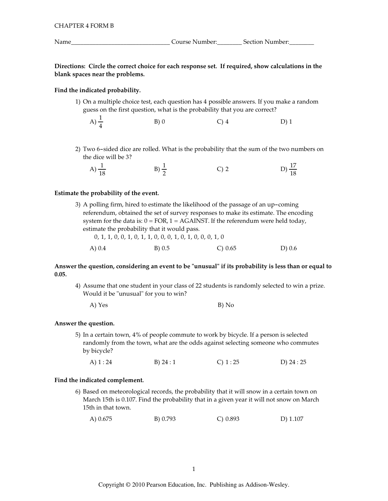Directions: Circle the correct choice for each response set. If required, show calculations in the blank spaces near the problems.

## Find the indicated probability.

1) On a multiple choice test, each question has 4 possible answers. If you make a random guess on the first question, what is the probability that you are correct?

A) 
$$
\frac{1}{4}
$$
 \t\t B) 0 \t\t C) 4 \t\t D) 1

2) Two 6-sided dice are rolled. What is the probability that the sum of the two numbers on the dice will be 3?

| A) $\frac{1}{18}$ | $B) \frac{1}{2}$ | $\bigcap$ 2 | D) $\frac{17}{18}$ |
|-------------------|------------------|-------------|--------------------|
|                   |                  |             |                    |

#### Estimate the probability of the event.

3) A polling firm, hired to estimate the likelihood of the passage of an up-coming referendum, obtained the set of survey responses to make its estimate. The encoding system for the data is:  $0 = FOR$ ,  $1 = AGAINST$ . If the referendum were held today, estimate the probability that it would pass.

|          | 0, 1, 1, 0, 0, 1, 0, 1, 1, 0, 0, 0, 1, 0, 1, 0, 0, 0, 1, 0 |           |        |
|----------|------------------------------------------------------------|-----------|--------|
| A) $0.4$ | B) 0.5                                                     | C) $0.65$ | D) 0.6 |

## Answer the question, considering an event to be "unusual" if its probability is less than or equal to  $0.05.$

4) Assume that one student in your class of 22 students is randomly selected to win a prize. Would it be "unusual" for you to win?

|  |  |  | B) No |
|--|--|--|-------|

#### Answer the question.

5) In a certain town, 4% of people commute to work by bicycle. If a person is selected randomly from the town, what are the odds against selecting someone who commutes by bicycle?

| A) 1 : 24<br>B) $24:1$ | $C)$ 1 : 25 | D) 24 : 25 |
|------------------------|-------------|------------|
|------------------------|-------------|------------|

#### Find the indicated complement.

6) Based on meteorological records, the probability that it will snow in a certain town on March 15th is 0.107. Find the probability that in a given year it will not snow on March 15th in that town.

A) 0.675 B) 0.793  $C) 0.893$  $D)$  1.107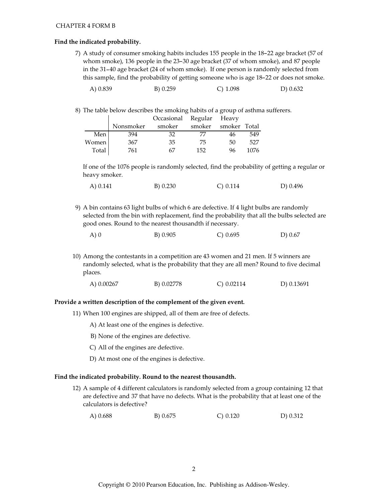#### **CHAPTER 4 FORM B**

### Find the indicated probability.

7) A study of consumer smoking habits includes 155 people in the 18-22 age bracket (57 of whom smoke), 136 people in the 23-30 age bracket (37 of whom smoke), and 87 people in the 31-40 age bracket (24 of whom smoke). If one person is randomly selected from this sample, find the probability of getting someone who is age 18-22 or does not smoke.

| A) 0.839 | B) 0.259 | C) $1.098$ | D $) 0.632$ |
|----------|----------|------------|-------------|
|----------|----------|------------|-------------|

8) The table below describes the smoking habits of a group of asthma sufferers.

|       |           | Occasional Regular Heavy |        |              |      |
|-------|-----------|--------------------------|--------|--------------|------|
|       | Nonsmoker | smoker                   | smoker | smoker Total |      |
| Men   | 394       | 32                       | 77     | 46           | 549  |
| Women | 367       | 35                       | 75     | 50           | 527  |
| Total | 761       | 67                       | 152    | 96           | 1076 |

If one of the 1076 people is randomly selected, find the probability of getting a regular or heavy smoker.

| A) $0.141$ | B) 0.230 | C) 0.114 | D) 0.496 |
|------------|----------|----------|----------|
|------------|----------|----------|----------|

9) A bin contains 63 light bulbs of which 6 are defective. If 4 light bulbs are randomly selected from the bin with replacement, find the probability that all the bulbs selected are good ones. Round to the nearest thousandth if necessary.

| A) 0 | B) 0.905 | C) 0.695 | D) 0.67 |
|------|----------|----------|---------|
|      |          |          |         |

10) Among the contestants in a competition are 43 women and 21 men. If 5 winners are randomly selected, what is the probability that they are all men? Round to five decimal places.

| A) $0.00267$ | B) 0.02778 | $C$ ) 0.02114 | D) 0.13691 |
|--------------|------------|---------------|------------|
|--------------|------------|---------------|------------|

#### Provide a written description of the complement of the given event.

- 11) When 100 engines are shipped, all of them are free of defects.
	- A) At least one of the engines is defective.
	- B) None of the engines are defective.
	- C) All of the engines are defective.
	- D) At most one of the engines is defective.

#### Find the indicated probability. Round to the nearest thousandth.

- 12) A sample of 4 different calculators is randomly selected from a group containing 12 that are defective and 37 that have no defects. What is the probability that at least one of the calculators is defective?
	- A $) 0.688$ B) 0.675  $C) 0.120$  $D) 0.312$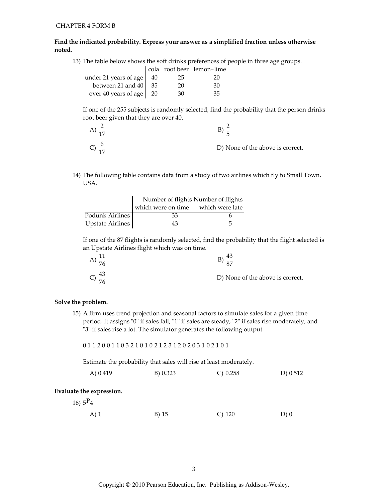## Find the indicated probability. Express your answer as a simplified fraction unless otherwise noted.

13) The table below shows the soft drinks preferences of people in three age groups.

|                                   |    | cola root beer lemon-lime |
|-----------------------------------|----|---------------------------|
| under 21 years of age $\sqrt{40}$ | 25 | 20                        |
| between 21 and $40$ 35            | 20 | 30                        |
| over 40 years of age   20         | 30 | 35                        |

If one of the 255 subjects is randomly selected, find the probability that the person drinks root beer given that they are over 40.

| $A)$ $\overline{AB}$ |                                  |
|----------------------|----------------------------------|
|                      | D) None of the above is correct. |

14) The following table contains data from a study of two airlines which fly to Small Town, USA.

|                  | Number of flights Number of flights |   |  |
|------------------|-------------------------------------|---|--|
|                  | which were on time which were late  |   |  |
| Podunk Airlines  | 33                                  |   |  |
| Upstate Airlines | 43                                  | 5 |  |

If one of the 87 flights is randomly selected, find the probability that the flight selected is an Upstate Airlines flight which was on time.

| A) $\frac{11}{76}$ |                                  |
|--------------------|----------------------------------|
| C) $\frac{43}{76}$ | D) None of the above is correct. |

#### Solve the problem.

15) A firm uses trend projection and seasonal factors to simulate sales for a given time period. It assigns "0" if sales fall, "1" if sales are steady, "2" if sales rise moderately, and "3" if sales rise a lot. The simulator generates the following output.

0112001103210102123120203102101

Estimate the probability that sales will rise at least moderately.

| B) 0.323<br>A) 0.419<br>C) 0.258 | D) 0.512 |
|----------------------------------|----------|
|----------------------------------|----------|

 $D)0$ 

## Evaluate the expression.

16)  $5^{P_4}$ B) 15  $C)$  120  $A)$  1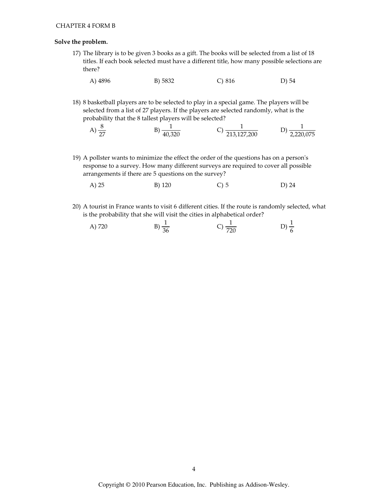## Solve the problem.

- 17) The library is to be given 3 books as a gift. The books will be selected from a list of 18 titles. If each book selected must have a different title, how many possible selections are there?
	- A) 4896 B) 5832  $C)$  816 D) 54
- 18) 8 basketball players are to be selected to play in a special game. The players will be selected from a list of 27 players. If the players are selected randomly, what is the probability that the 8 tallest players will be selected?

A) 
$$
\frac{8}{27}
$$
 \t\t B)  $\frac{1}{40,320}$  \t\t C)  $\frac{1}{213,127,200}$  \t\t D)  $\frac{1}{2,220,075}$ 

- 19) A pollster wants to minimize the effect the order of the questions has on a person's response to a survey. How many different surveys are required to cover all possible arrangements if there are 5 questions on the survey?
	- A) 25  $C$ ) 5 B) 120 D) 24
- 20) A tourist in France wants to visit 6 different cities. If the route is randomly selected, what is the probability that she will visit the cities in alphabetical order?

A) 720 \tB) 
$$
\frac{1}{36}
$$
 \tC)  $\frac{1}{720}$  \tD)  $\frac{1}{6}$